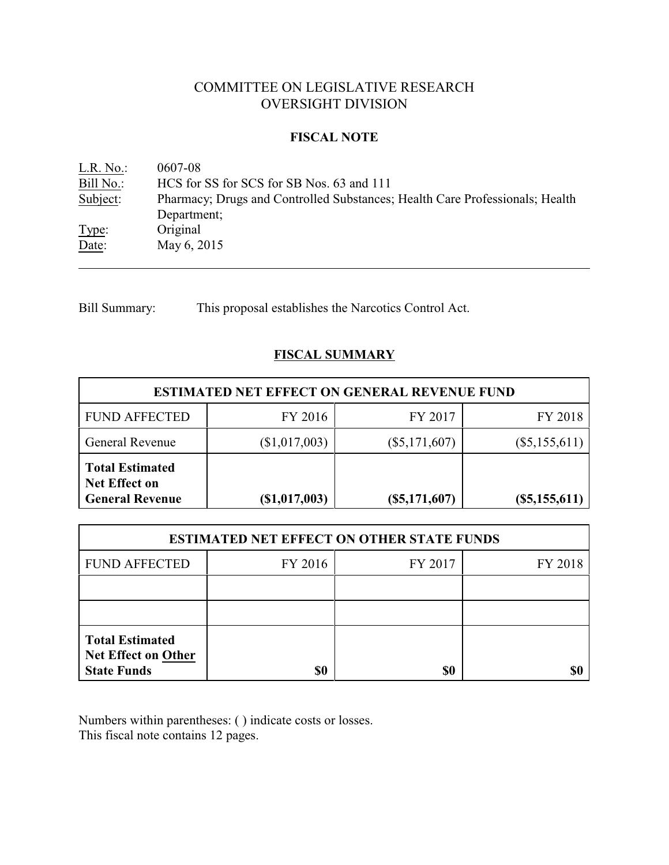# COMMITTEE ON LEGISLATIVE RESEARCH OVERSIGHT DIVISION

# **FISCAL NOTE**

<u>L.R. No.</u>: 0607-08<br>
<u>Bill No.</u>: HCS for HCS for SS for SCS for SB Nos. 63 and 111 Subject: Pharmacy; Drugs and Controlled Substances; Health Care Professionals; Health Department; Type: Original Date: May 6, 2015

Bill Summary: This proposal establishes the Narcotics Control Act.

# **FISCAL SUMMARY**

| <b>ESTIMATED NET EFFECT ON GENERAL REVENUE FUND</b>                                                                             |               |                 |                 |  |  |
|---------------------------------------------------------------------------------------------------------------------------------|---------------|-----------------|-----------------|--|--|
| <b>FUND AFFECTED</b>                                                                                                            | FY 2016       | FY 2017         | FY 2018         |  |  |
| <b>General Revenue</b>                                                                                                          | (\$1,017,003) | $(\$5,171,607)$ | $(\$5,155,611)$ |  |  |
| <b>Total Estimated</b><br><b>Net Effect on</b><br><b>General Revenue</b><br>(\$1,017,003)<br>$(\$5,171,607)$<br>$(\$5,155,611)$ |               |                 |                 |  |  |

| <b>ESTIMATED NET EFFECT ON OTHER STATE FUNDS</b>                           |         |         |         |  |  |
|----------------------------------------------------------------------------|---------|---------|---------|--|--|
| <b>FUND AFFECTED</b>                                                       | FY 2016 | FY 2017 | FY 2018 |  |  |
|                                                                            |         |         |         |  |  |
|                                                                            |         |         |         |  |  |
| <b>Total Estimated</b><br><b>Net Effect on Other</b><br><b>State Funds</b> | \$0     | \$0     |         |  |  |

Numbers within parentheses: ( ) indicate costs or losses. This fiscal note contains 12 pages.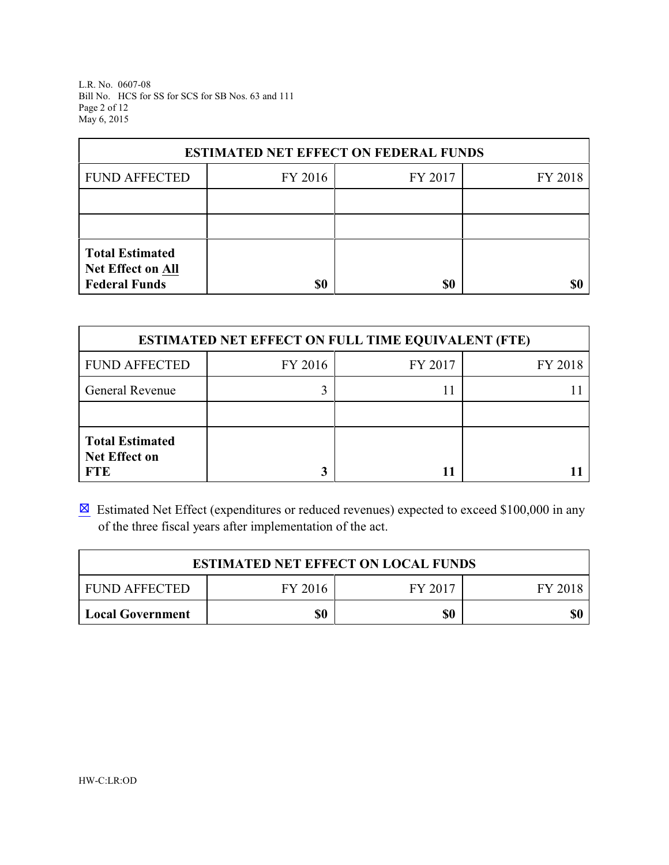L.R. No. 0607-08 Bill No. HCS for SS for SCS for SB Nos. 63 and 111 Page 2 of 12 May 6, 2015

| <b>ESTIMATED NET EFFECT ON FEDERAL FUNDS</b> |         |         |         |  |  |
|----------------------------------------------|---------|---------|---------|--|--|
| <b>FUND AFFECTED</b>                         | FY 2016 | FY 2017 | FY 2018 |  |  |
|                                              |         |         |         |  |  |
|                                              |         |         |         |  |  |
| <b>Total Estimated</b><br>Net Effect on All  |         |         |         |  |  |
| <b>Federal Funds</b>                         | \$0     | \$0     |         |  |  |

| <b>ESTIMATED NET EFFECT ON FULL TIME EQUIVALENT (FTE)</b>    |         |         |         |  |  |
|--------------------------------------------------------------|---------|---------|---------|--|--|
| <b>FUND AFFECTED</b>                                         | FY 2016 | FY 2017 | FY 2018 |  |  |
| <b>General Revenue</b>                                       |         |         |         |  |  |
|                                                              |         |         |         |  |  |
| <b>Total Estimated</b><br><b>Net Effect on</b><br><b>FTE</b> |         |         |         |  |  |

 $\boxtimes$  Estimated Net Effect (expenditures or reduced revenues) expected to exceed \$100,000 in any of the three fiscal years after implementation of the act.

| <b>ESTIMATED NET EFFECT ON LOCAL FUNDS</b>            |  |  |  |  |  |  |
|-------------------------------------------------------|--|--|--|--|--|--|
| FY 2016<br>FY 2017<br><b>FUND AFFECTED</b><br>FY 2018 |  |  |  |  |  |  |
| \$0<br>\$0<br>\$0<br><b>Local Government</b>          |  |  |  |  |  |  |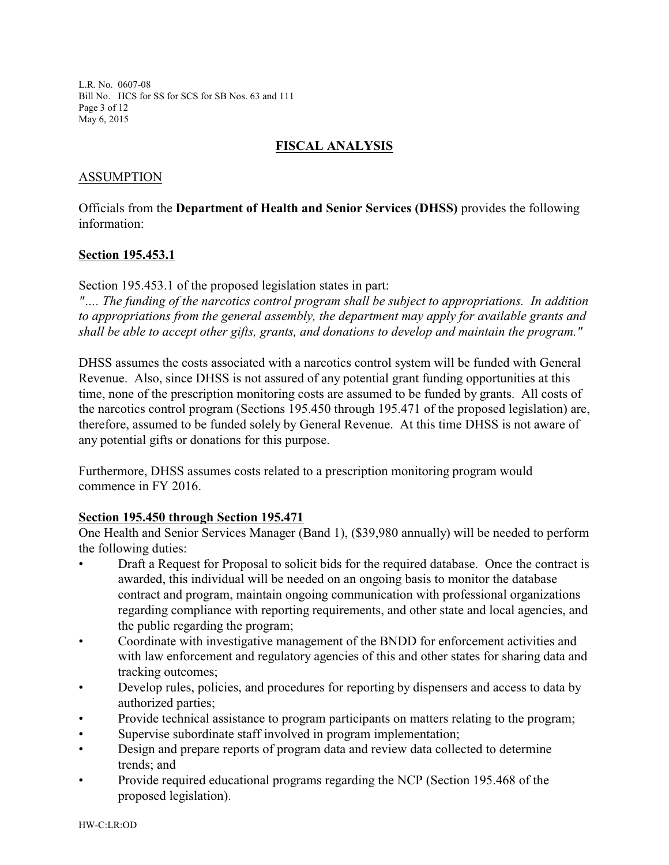L.R. No. 0607-08 Bill No. HCS for SS for SCS for SB Nos. 63 and 111 Page 3 of 12 May 6, 2015

# **FISCAL ANALYSIS**

## ASSUMPTION

Officials from the **Department of Health and Senior Services (DHSS)** provides the following information:

## **Section 195.453.1**

Section 195.453.1 of the proposed legislation states in part:

*"…. The funding of the narcotics control program shall be subject to appropriations. In addition to appropriations from the general assembly, the department may apply for available grants and shall be able to accept other gifts, grants, and donations to develop and maintain the program."*

DHSS assumes the costs associated with a narcotics control system will be funded with General Revenue. Also, since DHSS is not assured of any potential grant funding opportunities at this time, none of the prescription monitoring costs are assumed to be funded by grants. All costs of the narcotics control program (Sections 195.450 through 195.471 of the proposed legislation) are, therefore, assumed to be funded solely by General Revenue. At this time DHSS is not aware of any potential gifts or donations for this purpose.

Furthermore, DHSS assumes costs related to a prescription monitoring program would commence in FY 2016.

## **Section 195.450 through Section 195.471**

One Health and Senior Services Manager (Band 1), (\$39,980 annually) will be needed to perform the following duties:

- Draft a Request for Proposal to solicit bids for the required database. Once the contract is awarded, this individual will be needed on an ongoing basis to monitor the database contract and program, maintain ongoing communication with professional organizations regarding compliance with reporting requirements, and other state and local agencies, and the public regarding the program;
- Coordinate with investigative management of the BNDD for enforcement activities and with law enforcement and regulatory agencies of this and other states for sharing data and tracking outcomes;
- Develop rules, policies, and procedures for reporting by dispensers and access to data by authorized parties;
- Provide technical assistance to program participants on matters relating to the program;
- Supervise subordinate staff involved in program implementation;
- Design and prepare reports of program data and review data collected to determine trends; and
- Provide required educational programs regarding the NCP (Section 195.468 of the proposed legislation).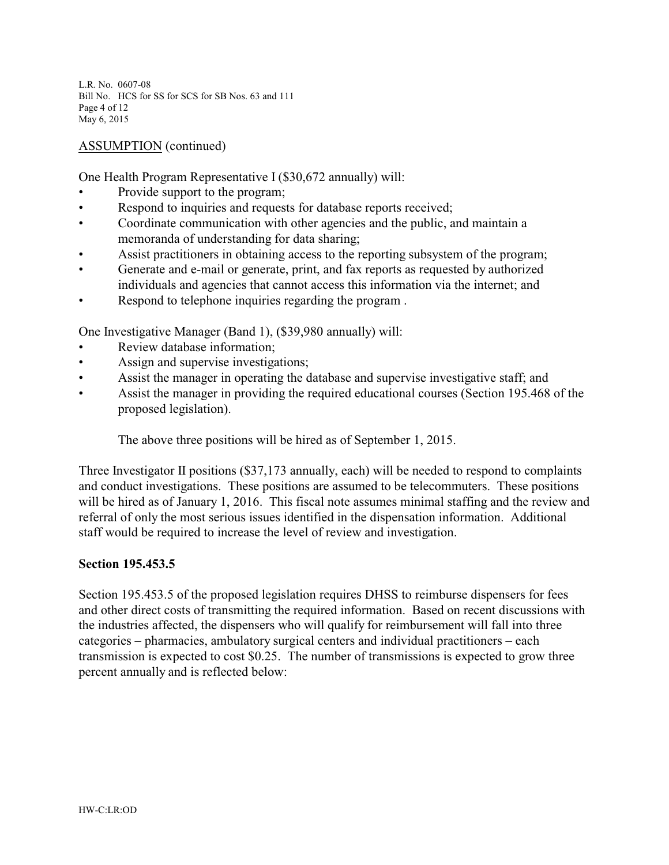L.R. No. 0607-08 Bill No. HCS for SS for SCS for SB Nos. 63 and 111 Page 4 of 12 May 6, 2015

# ASSUMPTION (continued)

One Health Program Representative I (\$30,672 annually) will:

- Provide support to the program;
- Respond to inquiries and requests for database reports received;
- Coordinate communication with other agencies and the public, and maintain a memoranda of understanding for data sharing;
- Assist practitioners in obtaining access to the reporting subsystem of the program;
- Generate and e-mail or generate, print, and fax reports as requested by authorized individuals and agencies that cannot access this information via the internet; and
- Respond to telephone inquiries regarding the program.

One Investigative Manager (Band 1), (\$39,980 annually) will:

- Review database information;
- Assign and supervise investigations;
- Assist the manager in operating the database and supervise investigative staff; and
- Assist the manager in providing the required educational courses (Section 195.468 of the proposed legislation).

The above three positions will be hired as of September 1, 2015.

Three Investigator II positions (\$37,173 annually, each) will be needed to respond to complaints and conduct investigations. These positions are assumed to be telecommuters. These positions will be hired as of January 1, 2016. This fiscal note assumes minimal staffing and the review and referral of only the most serious issues identified in the dispensation information. Additional staff would be required to increase the level of review and investigation.

## **Section 195.453.5**

Section 195.453.5 of the proposed legislation requires DHSS to reimburse dispensers for fees and other direct costs of transmitting the required information. Based on recent discussions with the industries affected, the dispensers who will qualify for reimbursement will fall into three categories – pharmacies, ambulatory surgical centers and individual practitioners – each transmission is expected to cost \$0.25. The number of transmissions is expected to grow three percent annually and is reflected below: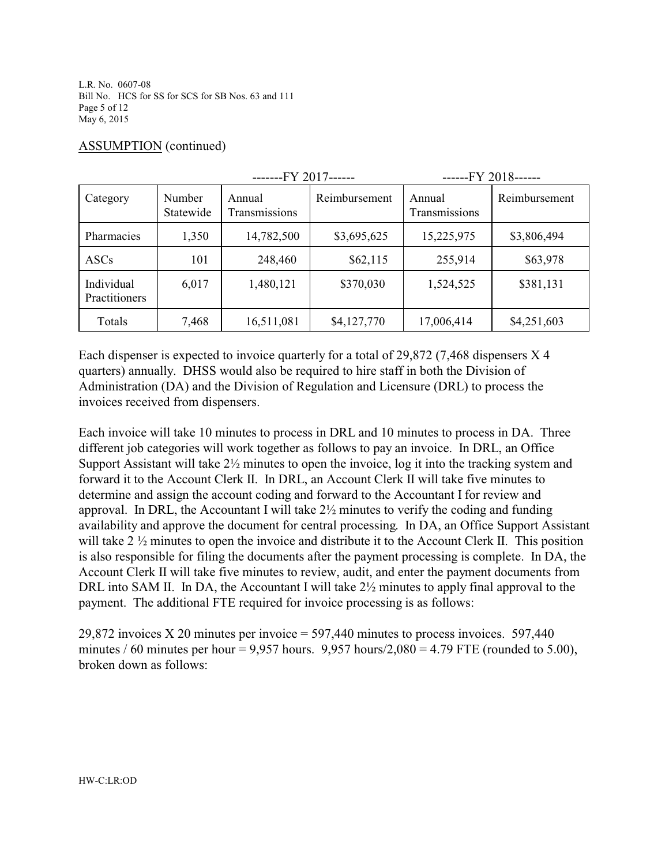L.R. No. 0607-08 Bill No. HCS for SS for SCS for SB Nos. 63 and 111 Page 5 of 12 May 6, 2015

|                             |                     | -------FY 2017------    |               | $---FY$ 2018------      |               |
|-----------------------------|---------------------|-------------------------|---------------|-------------------------|---------------|
| Category                    | Number<br>Statewide | Annual<br>Transmissions | Reimbursement | Annual<br>Transmissions | Reimbursement |
| Pharmacies                  | 1,350               | 14,782,500              | \$3,695,625   | 15,225,975              | \$3,806,494   |
| ASCs                        | 101                 | 248,460                 | \$62,115      | 255,914                 | \$63,978      |
| Individual<br>Practitioners | 6,017               | 1,480,121               | \$370,030     | 1,524,525               | \$381,131     |
| Totals                      | 7,468               | 16,511,081              | \$4,127,770   | 17,006,414              | \$4,251,603   |

# ASSUMPTION (continued)

Each dispenser is expected to invoice quarterly for a total of 29,872 (7,468 dispensers X 4 quarters) annually. DHSS would also be required to hire staff in both the Division of Administration (DA) and the Division of Regulation and Licensure (DRL) to process the invoices received from dispensers.

Each invoice will take 10 minutes to process in DRL and 10 minutes to process in DA. Three different job categories will work together as follows to pay an invoice. In DRL, an Office Support Assistant will take 2½ minutes to open the invoice, log it into the tracking system and forward it to the Account Clerk II. In DRL, an Account Clerk II will take five minutes to determine and assign the account coding and forward to the Accountant I for review and approval. In DRL, the Accountant I will take  $2\frac{1}{2}$  minutes to verify the coding and funding availability and approve the document for central processing. In DA, an Office Support Assistant will take 2  $\frac{1}{2}$  minutes to open the invoice and distribute it to the Account Clerk II. This position is also responsible for filing the documents after the payment processing is complete. In DA, the Account Clerk II will take five minutes to review, audit, and enter the payment documents from DRL into SAM II. In DA, the Accountant I will take  $2\frac{1}{2}$  minutes to apply final approval to the payment. The additional FTE required for invoice processing is as follows:

29,872 invoices X 20 minutes per invoice = 597,440 minutes to process invoices. 597,440 minutes / 60 minutes per hour = 9,957 hours.  $9,957$  hours/ $2,080 = 4.79$  FTE (rounded to 5.00), broken down as follows: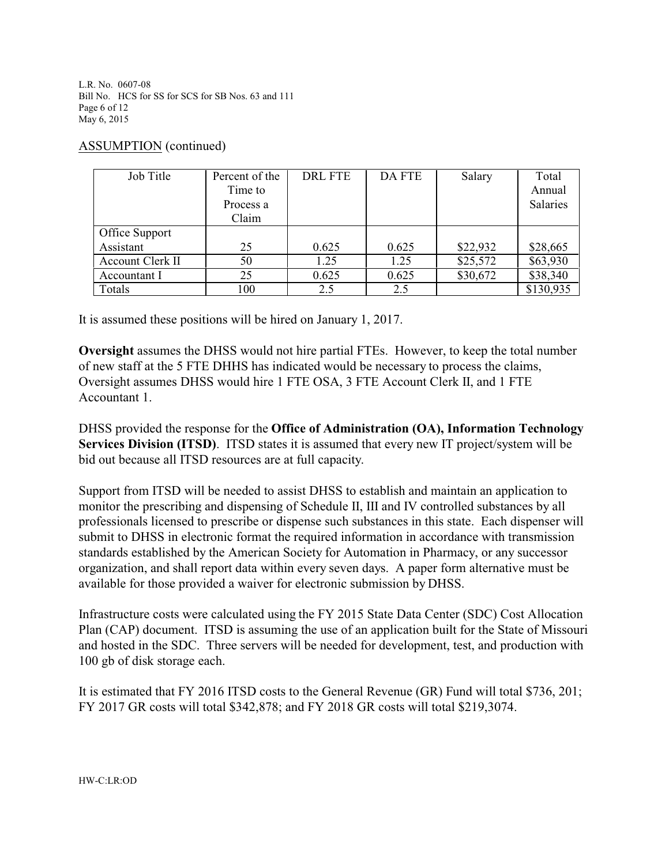L.R. No. 0607-08 Bill No. HCS for SS for SCS for SB Nos. 63 and 111 Page 6 of 12 May 6, 2015

## ASSUMPTION (continued)

| Job Title        | Percent of the | <b>DRL FTE</b> | <b>DA FTE</b> | Salary   | Total     |
|------------------|----------------|----------------|---------------|----------|-----------|
|                  | Time to        |                |               |          | Annual    |
|                  | Process a      |                |               |          | Salaries  |
|                  | Claim          |                |               |          |           |
| Office Support   |                |                |               |          |           |
| Assistant        | 25             | 0.625          | 0.625         | \$22,932 | \$28,665  |
| Account Clerk II | 50             | 1.25           | 1.25          | \$25,572 | \$63,930  |
| Accountant I     | 25             | 0.625          | 0.625         | \$30,672 | \$38,340  |
| Totals           | 100            | 2.5            | 2.5           |          | \$130,935 |

It is assumed these positions will be hired on January 1, 2017.

**Oversight** assumes the DHSS would not hire partial FTEs. However, to keep the total number of new staff at the 5 FTE DHHS has indicated would be necessary to process the claims, Oversight assumes DHSS would hire 1 FTE OSA, 3 FTE Account Clerk II, and 1 FTE Accountant 1.

DHSS provided the response for the **Office of Administration (OA), Information Technology Services Division (ITSD)**. ITSD states it is assumed that every new IT project/system will be bid out because all ITSD resources are at full capacity.

Support from ITSD will be needed to assist DHSS to establish and maintain an application to monitor the prescribing and dispensing of Schedule II, III and IV controlled substances by all professionals licensed to prescribe or dispense such substances in this state. Each dispenser will submit to DHSS in electronic format the required information in accordance with transmission standards established by the American Society for Automation in Pharmacy, or any successor organization, and shall report data within every seven days. A paper form alternative must be available for those provided a waiver for electronic submission by DHSS.

Infrastructure costs were calculated using the FY 2015 State Data Center (SDC) Cost Allocation Plan (CAP) document. ITSD is assuming the use of an application built for the State of Missouri and hosted in the SDC. Three servers will be needed for development, test, and production with 100 gb of disk storage each.

It is estimated that FY 2016 ITSD costs to the General Revenue (GR) Fund will total \$736, 201; FY 2017 GR costs will total \$342,878; and FY 2018 GR costs will total \$219,3074.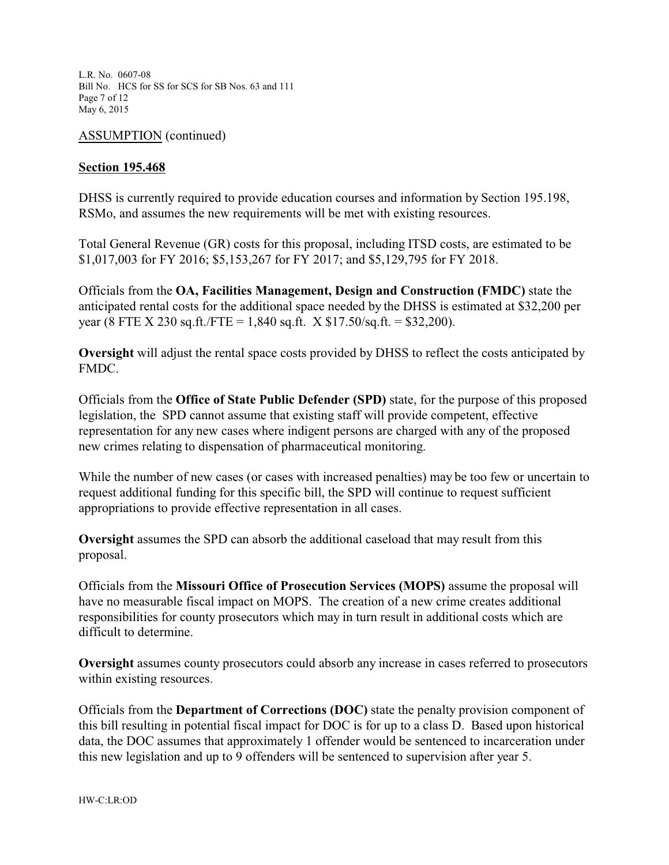L.R. No. 0607-08 Bill No. HCS for SS for SCS for SB Nos. 63 and 111 Page 7 of 12 May 6, 2015

ASSUMPTION (continued)

### **Section 195.468**

DHSS is currently required to provide education courses and information by Section 195.198, RSMo, and assumes the new requirements will be met with existing resources.

Total General Revenue (GR) costs for this proposal, including ITSD costs, are estimated to be \$1,017,003 for FY 2016; \$5,153,267 for FY 2017; and \$5,129,795 for FY 2018.

Officials from the **OA, Facilities Management, Design and Construction (FMDC)** state the anticipated rental costs for the additional space needed by the DHSS is estimated at \$32,200 per year (8 FTE X 230 sq.ft./FTE = 1,840 sq.ft. X  $$17.50$ /sq.ft. = \$32,200).

**Oversight** will adjust the rental space costs provided by DHSS to reflect the costs anticipated by FMDC.

Officials from the **Office of State Public Defender (SPD)** state, for the purpose of this proposed legislation, the SPD cannot assume that existing staff will provide competent, effective representation for any new cases where indigent persons are charged with any of the proposed new crimes relating to dispensation of pharmaceutical monitoring.

While the number of new cases (or cases with increased penalties) may be too few or uncertain to request additional funding for this specific bill, the SPD will continue to request sufficient appropriations to provide effective representation in all cases.

**Oversight** assumes the SPD can absorb the additional caseload that may result from this proposal.

Officials from the **Missouri Office of Prosecution Services (MOPS)** assume the proposal will have no measurable fiscal impact on MOPS. The creation of a new crime creates additional responsibilities for county prosecutors which may in turn result in additional costs which are difficult to determine.

**Oversight** assumes county prosecutors could absorb any increase in cases referred to prosecutors within existing resources.

Officials from the **Department of Corrections (DOC)** state the penalty provision component of this bill resulting in potential fiscal impact for DOC is for up to a class D. Based upon historical data, the DOC assumes that approximately 1 offender would be sentenced to incarceration under this new legislation and up to 9 offenders will be sentenced to supervision after year 5.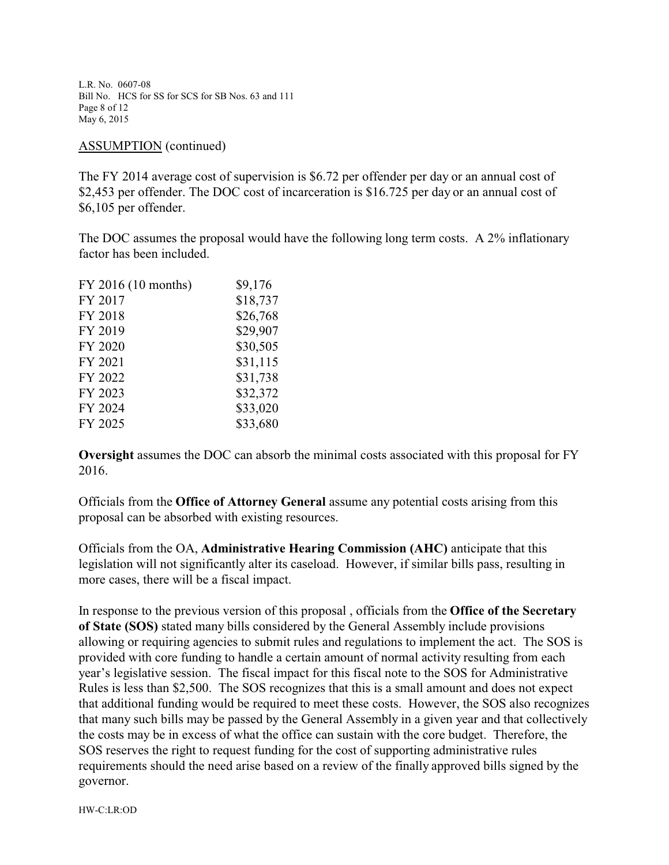L.R. No. 0607-08 Bill No. HCS for SS for SCS for SB Nos. 63 and 111 Page 8 of 12 May 6, 2015

### ASSUMPTION (continued)

The FY 2014 average cost of supervision is \$6.72 per offender per day or an annual cost of \$2,453 per offender. The DOC cost of incarceration is \$16.725 per day or an annual cost of \$6,105 per offender.

The DOC assumes the proposal would have the following long term costs. A 2% inflationary factor has been included.

| FY 2016 (10 months) | \$9,176  |
|---------------------|----------|
| FY 2017             | \$18,737 |
| FY 2018             | \$26,768 |
| FY 2019             | \$29,907 |
| FY 2020             | \$30,505 |
| FY 2021             | \$31,115 |
| FY 2022             | \$31,738 |
| FY 2023             | \$32,372 |
| FY 2024             | \$33,020 |
| FY 2025             | \$33,680 |
|                     |          |

**Oversight** assumes the DOC can absorb the minimal costs associated with this proposal for FY 2016.

Officials from the **Office of Attorney General** assume any potential costs arising from this proposal can be absorbed with existing resources.

Officials from the OA, **Administrative Hearing Commission (AHC)** anticipate that this legislation will not significantly alter its caseload. However, if similar bills pass, resulting in more cases, there will be a fiscal impact.

In response to the previous version of this proposal , officials from the **Office of the Secretary of State (SOS)** stated many bills considered by the General Assembly include provisions allowing or requiring agencies to submit rules and regulations to implement the act. The SOS is provided with core funding to handle a certain amount of normal activity resulting from each year's legislative session. The fiscal impact for this fiscal note to the SOS for Administrative Rules is less than \$2,500. The SOS recognizes that this is a small amount and does not expect that additional funding would be required to meet these costs. However, the SOS also recognizes that many such bills may be passed by the General Assembly in a given year and that collectively the costs may be in excess of what the office can sustain with the core budget. Therefore, the SOS reserves the right to request funding for the cost of supporting administrative rules requirements should the need arise based on a review of the finally approved bills signed by the governor.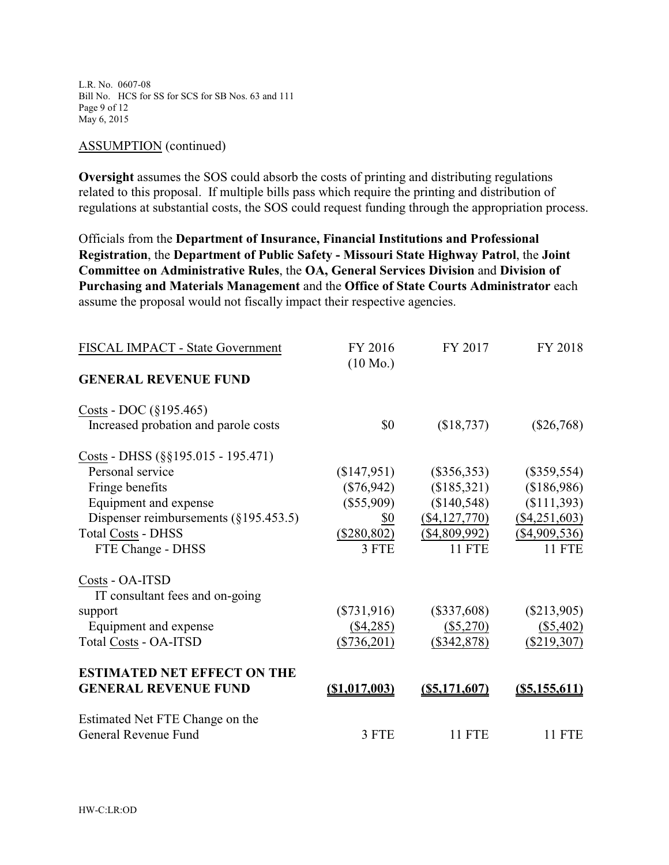L.R. No. 0607-08 Bill No. HCS for SS for SCS for SB Nos. 63 and 111 Page 9 of 12 May 6, 2015

#### ASSUMPTION (continued)

**Oversight** assumes the SOS could absorb the costs of printing and distributing regulations related to this proposal. If multiple bills pass which require the printing and distribution of regulations at substantial costs, the SOS could request funding through the appropriation process.

Officials from the **Department of Insurance, Financial Institutions and Professional Registration**, the **Department of Public Safety - Missouri State Highway Patrol**, the **Joint Committee on Administrative Rules**, the **OA, General Services Division** and **Division of Purchasing and Materials Management** and the **Office of State Courts Administrator** each assume the proposal would not fiscally impact their respective agencies.

| FISCAL IMPACT - State Government         | FY 2016<br>$(10 \text{ Mo.})$ | FY 2017          | FY 2018          |
|------------------------------------------|-------------------------------|------------------|------------------|
| <b>GENERAL REVENUE FUND</b>              |                               |                  |                  |
| Costs - DOC $(\S195.465)$                |                               |                  |                  |
| Increased probation and parole costs     | \$0                           | (\$18,737)       | $(\$26,768)$     |
| Costs - DHSS (§§195.015 - 195.471)       |                               |                  |                  |
| Personal service                         | (\$147,951)                   | $(\$356,353)$    | $(\$359,554)$    |
| Fringe benefits                          | $(\$76,942)$                  | (\$185,321)      | (\$186,986)      |
| Equipment and expense                    | $(\$55,909)$                  | (\$140,548)      | (\$111,393)      |
| Dispenser reimbursements $(\S195.453.5)$ | \$0                           | (\$4,127,770)    | ( \$4,251,603)   |
| <b>Total Costs - DHSS</b>                | $(\$280,802)$                 | $(\$4,809,992)$  | $(\$4,909,536)$  |
| FTE Change - DHSS                        | 3 FTE                         | <b>11 FTE</b>    | 11 FTE           |
| Costs - OA-ITSD                          |                               |                  |                  |
| IT consultant fees and on-going          |                               |                  |                  |
| support                                  | $(\$731,916)$                 | $(\$337,608)$    | $(\$213,905)$    |
| Equipment and expense                    | $(\$4,285)$                   | $(\$5,270)$      | (\$5,402)        |
| Total Costs - OA-ITSD                    | $(\$736,201)$                 | (\$342,878)      | (\$219,307)      |
| <b>ESTIMATED NET EFFECT ON THE</b>       |                               |                  |                  |
| <b>GENERAL REVENUE FUND</b>              | $($ \$1,017,003)              | $($ \$5,171,607) | $($ \$5,155,611) |
| Estimated Net FTE Change on the          |                               |                  |                  |
| General Revenue Fund                     | 3 FTE                         | 11 FTE           | 11 FTE           |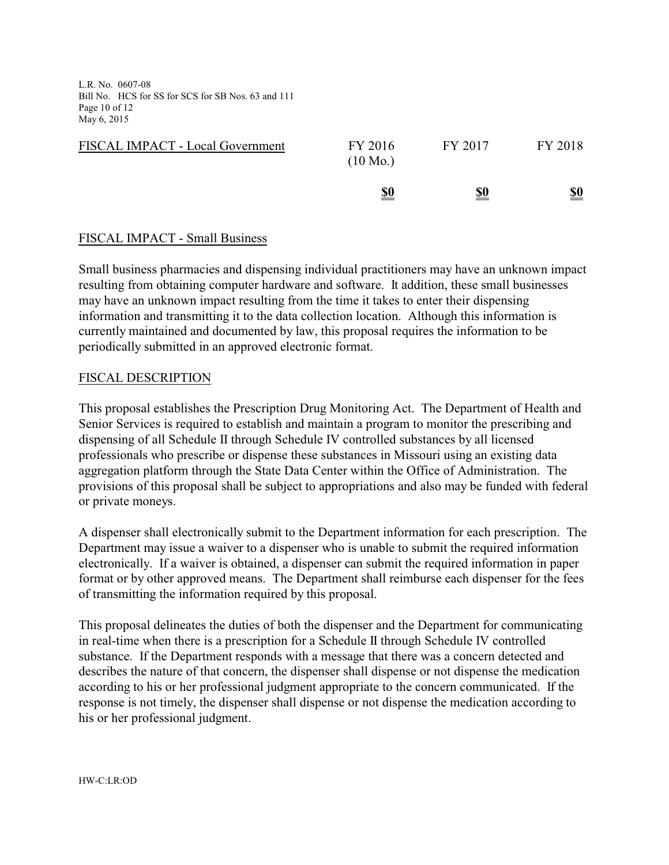L.R. No. 0607-08 Bill No. HCS for SS for SCS for SB Nos. 63 and 111 Page 10 of 12 May 6, 2015

| FISCAL IMPACT - Local Government | FY 2016<br>$(10 \text{ Mo.})$ | FY 2017    | FY 2018    |
|----------------------------------|-------------------------------|------------|------------|
|                                  | <u>\$0</u>                    | <u>\$0</u> | <u>\$0</u> |

# FISCAL IMPACT - Small Business

Small business pharmacies and dispensing individual practitioners may have an unknown impact resulting from obtaining computer hardware and software. It addition, these small businesses may have an unknown impact resulting from the time it takes to enter their dispensing information and transmitting it to the data collection location. Although this information is currently maintained and documented by law, this proposal requires the information to be periodically submitted in an approved electronic format.

## FISCAL DESCRIPTION

This proposal establishes the Prescription Drug Monitoring Act. The Department of Health and Senior Services is required to establish and maintain a program to monitor the prescribing and dispensing of all Schedule II through Schedule IV controlled substances by all licensed professionals who prescribe or dispense these substances in Missouri using an existing data aggregation platform through the State Data Center within the Office of Administration. The provisions of this proposal shall be subject to appropriations and also may be funded with federal or private moneys.

A dispenser shall electronically submit to the Department information for each prescription. The Department may issue a waiver to a dispenser who is unable to submit the required information electronically. If a waiver is obtained, a dispenser can submit the required information in paper format or by other approved means. The Department shall reimburse each dispenser for the fees of transmitting the information required by this proposal.

This proposal delineates the duties of both the dispenser and the Department for communicating in real-time when there is a prescription for a Schedule II through Schedule IV controlled substance. If the Department responds with a message that there was a concern detected and describes the nature of that concern, the dispenser shall dispense or not dispense the medication according to his or her professional judgment appropriate to the concern communicated. If the response is not timely, the dispenser shall dispense or not dispense the medication according to his or her professional judgment.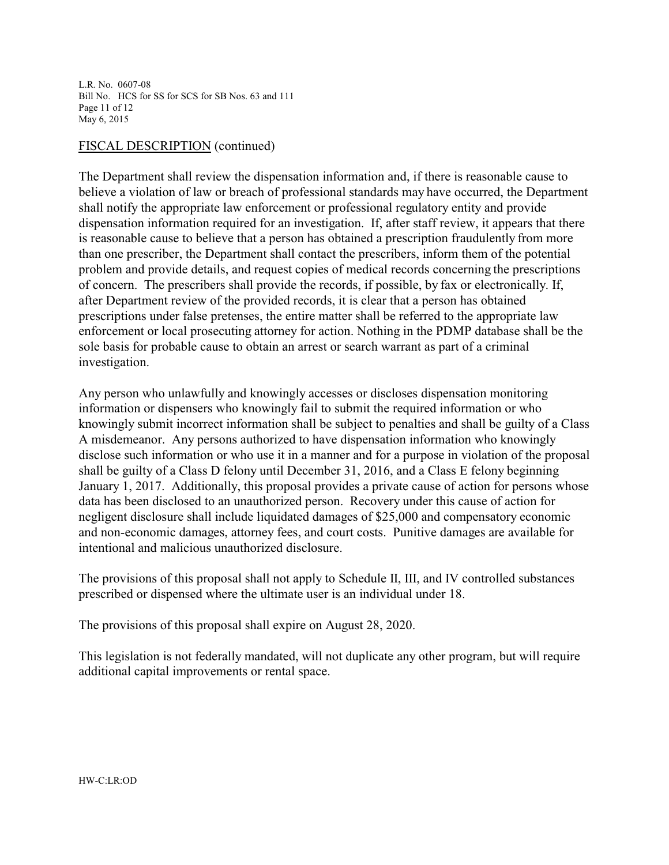L.R. No. 0607-08 Bill No. HCS for SS for SCS for SB Nos. 63 and 111 Page 11 of 12 May 6, 2015

# FISCAL DESCRIPTION (continued)

The Department shall review the dispensation information and, if there is reasonable cause to believe a violation of law or breach of professional standards may have occurred, the Department shall notify the appropriate law enforcement or professional regulatory entity and provide dispensation information required for an investigation. If, after staff review, it appears that there is reasonable cause to believe that a person has obtained a prescription fraudulently from more than one prescriber, the Department shall contact the prescribers, inform them of the potential problem and provide details, and request copies of medical records concerning the prescriptions of concern. The prescribers shall provide the records, if possible, by fax or electronically. If, after Department review of the provided records, it is clear that a person has obtained prescriptions under false pretenses, the entire matter shall be referred to the appropriate law enforcement or local prosecuting attorney for action. Nothing in the PDMP database shall be the sole basis for probable cause to obtain an arrest or search warrant as part of a criminal investigation.

Any person who unlawfully and knowingly accesses or discloses dispensation monitoring information or dispensers who knowingly fail to submit the required information or who knowingly submit incorrect information shall be subject to penalties and shall be guilty of a Class A misdemeanor. Any persons authorized to have dispensation information who knowingly disclose such information or who use it in a manner and for a purpose in violation of the proposal shall be guilty of a Class D felony until December 31, 2016, and a Class E felony beginning January 1, 2017. Additionally, this proposal provides a private cause of action for persons whose data has been disclosed to an unauthorized person. Recovery under this cause of action for negligent disclosure shall include liquidated damages of \$25,000 and compensatory economic and non-economic damages, attorney fees, and court costs. Punitive damages are available for intentional and malicious unauthorized disclosure.

The provisions of this proposal shall not apply to Schedule II, III, and IV controlled substances prescribed or dispensed where the ultimate user is an individual under 18.

The provisions of this proposal shall expire on August 28, 2020.

This legislation is not federally mandated, will not duplicate any other program, but will require additional capital improvements or rental space.